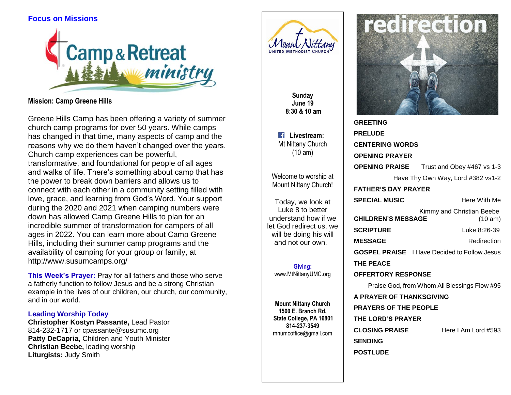# **Focus on Missions**



**Mission: Camp Greene Hills**

Greene Hills Camp has been offering a variety of summer church camp programs for over 50 years. While camps has changed in that time, many aspects of camp and the reasons why we do them haven't changed over the years. Church camp experiences can be powerful, transformative, and foundational for people of all ages and walks of life. There's something about camp that has the power to break down barriers and allows us to connect with each other in a community setting filled with love, grace, and learning from God's Word. Your support during the 2020 and 2021 when camping numbers were down has allowed Camp Greene Hills to plan for an incredible summer of transformation for campers of all ages in 2022. You can learn more about Camp Greene Hills, including their summer camp programs and the availability of camping for your group or family, at [http://www.susumcamps.org/](about:blank)

**This Week's Prayer:** Pray for all fathers and those who serve a fatherly function to follow Jesus and be a strong Christian example in the lives of our children, our church, our community, and in our world.

## **Leading Worship Today**

**Christopher Kostyn Passante,** Lead Pastor 814-232-1717 or cpassante@susumc.org **Patty DeCapria,** Children and Youth Minister **Christian Beebe,** leading worship **Liturgists:** Judy Smith



**Sunday June 19 8:30 & 10 am**

**Livestream: Mt Nittany Church** (10 am)

Welcome to worship at Mount Nittany Church!

Today, we look at Luke 8 to better understand how if we let God redirect us, we will be doing his will and not our own.

**Giving:** [www.MtNittanyUMC.org](http://www.mtnittanyumc.org/)

**Mount Nittany Church 1500 E. Branch Rd, State College, PA 16801 814-237-3549** [mnumcoffice@gmail.com](mailto:mnumcoffice@gmail.com)



**GREETING PRELUDE CENTERING WORDS OPENING PRAYER OPENING PRAISE** Trust and Obey #467 vs 1-3 Have Thy Own Way, Lord #382 vs1-2 **FATHER'S DAY PRAYER SPECIAL MUSIC** Here With Me Kimmy and Christian Beebe **CHILDREN'S MESSAGE** (10 am) **SCRIPTURE Luke 8:26-39 MESSAGE** Redirection **GOSPEL PRAISE** I Have Decided to Follow Jesus **THE PEACE OFFERTORY RESPONSE** Praise God, from Whom All Blessings Flow #95 **A PRAYER OF THANKSGIVING PRAYERS OF THE PEOPLE THE LORD'S PRAYER CLOSING PRAISE** Here I Am Lord #593 **SENDING**

**POSTLUDE**